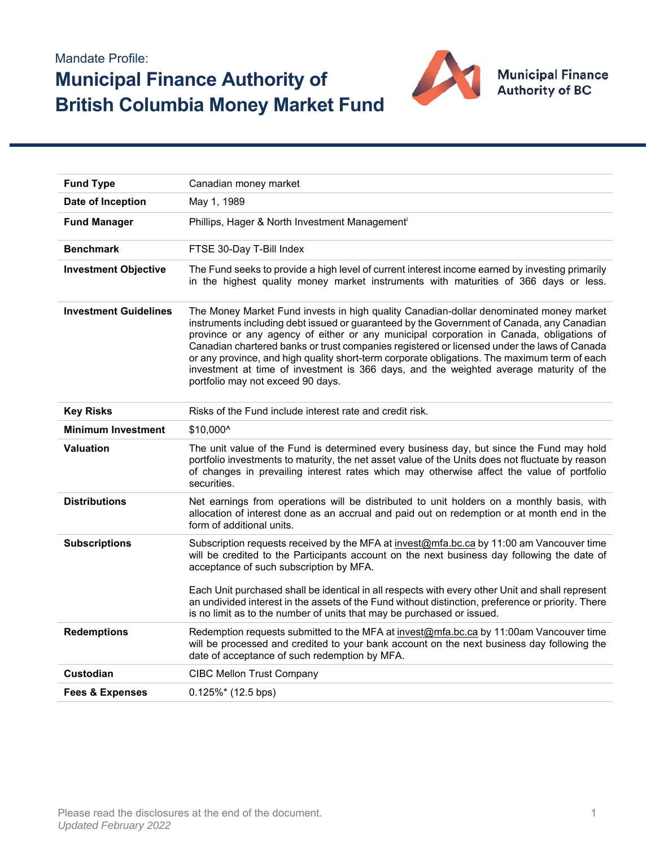## Mandate Profile: **Municipal Finance Authority of British Columbia Money Market Fund**



| <b>Fund Type</b>             | Canadian money market                                                                                                                                                                                                                                                                                                                                                                                                                                                                                                                                                                                        |  |  |  |  |  |
|------------------------------|--------------------------------------------------------------------------------------------------------------------------------------------------------------------------------------------------------------------------------------------------------------------------------------------------------------------------------------------------------------------------------------------------------------------------------------------------------------------------------------------------------------------------------------------------------------------------------------------------------------|--|--|--|--|--|
| Date of Inception            | May 1, 1989                                                                                                                                                                                                                                                                                                                                                                                                                                                                                                                                                                                                  |  |  |  |  |  |
| <b>Fund Manager</b>          | Phillips, Hager & North Investment Management <sup>i</sup>                                                                                                                                                                                                                                                                                                                                                                                                                                                                                                                                                   |  |  |  |  |  |
| <b>Benchmark</b>             | FTSE 30-Day T-Bill Index                                                                                                                                                                                                                                                                                                                                                                                                                                                                                                                                                                                     |  |  |  |  |  |
| <b>Investment Objective</b>  | The Fund seeks to provide a high level of current interest income earned by investing primarily<br>in the highest quality money market instruments with maturities of 366 days or less.                                                                                                                                                                                                                                                                                                                                                                                                                      |  |  |  |  |  |
| <b>Investment Guidelines</b> | The Money Market Fund invests in high quality Canadian-dollar denominated money market<br>instruments including debt issued or guaranteed by the Government of Canada, any Canadian<br>province or any agency of either or any municipal corporation in Canada, obligations of<br>Canadian chartered banks or trust companies registered or licensed under the laws of Canada<br>or any province, and high quality short-term corporate obligations. The maximum term of each<br>investment at time of investment is 366 days, and the weighted average maturity of the<br>portfolio may not exceed 90 days. |  |  |  |  |  |
| <b>Key Risks</b>             | Risks of the Fund include interest rate and credit risk.                                                                                                                                                                                                                                                                                                                                                                                                                                                                                                                                                     |  |  |  |  |  |
| <b>Minimum Investment</b>    | \$10,000^                                                                                                                                                                                                                                                                                                                                                                                                                                                                                                                                                                                                    |  |  |  |  |  |
| <b>Valuation</b>             | The unit value of the Fund is determined every business day, but since the Fund may hold<br>portfolio investments to maturity, the net asset value of the Units does not fluctuate by reason<br>of changes in prevailing interest rates which may otherwise affect the value of portfolio<br>securities.                                                                                                                                                                                                                                                                                                     |  |  |  |  |  |
| <b>Distributions</b>         | Net earnings from operations will be distributed to unit holders on a monthly basis, with<br>allocation of interest done as an accrual and paid out on redemption or at month end in the<br>form of additional units.                                                                                                                                                                                                                                                                                                                                                                                        |  |  |  |  |  |
| <b>Subscriptions</b>         | Subscription requests received by the MFA at invest@mfa.bc.ca by 11:00 am Vancouver time<br>will be credited to the Participants account on the next business day following the date of<br>acceptance of such subscription by MFA.<br>Each Unit purchased shall be identical in all respects with every other Unit and shall represent                                                                                                                                                                                                                                                                       |  |  |  |  |  |
|                              | an undivided interest in the assets of the Fund without distinction, preference or priority. There<br>is no limit as to the number of units that may be purchased or issued.                                                                                                                                                                                                                                                                                                                                                                                                                                 |  |  |  |  |  |
| <b>Redemptions</b>           | Redemption requests submitted to the MFA at invest@mfa.bc.ca by 11:00am Vancouver time<br>will be processed and credited to your bank account on the next business day following the<br>date of acceptance of such redemption by MFA.                                                                                                                                                                                                                                                                                                                                                                        |  |  |  |  |  |
| <b>Custodian</b>             | <b>CIBC Mellon Trust Company</b>                                                                                                                                                                                                                                                                                                                                                                                                                                                                                                                                                                             |  |  |  |  |  |
| <b>Fees &amp; Expenses</b>   | $0.125\%*$ (12.5 bps)                                                                                                                                                                                                                                                                                                                                                                                                                                                                                                                                                                                        |  |  |  |  |  |